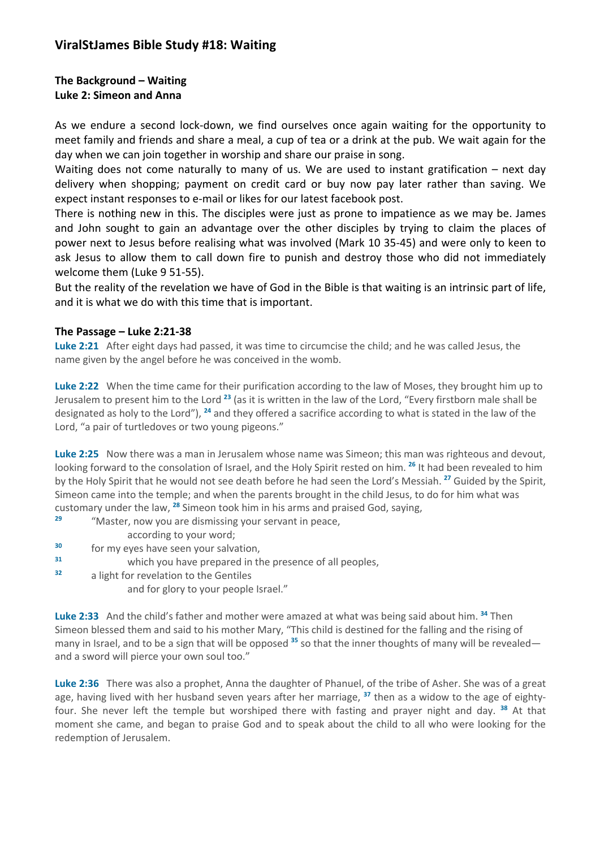# **ViralStJames Bible Study #18: Waiting**

## **The Background – Waiting Luke 2: Simeon and Anna**

As we endure a second lock-down, we find ourselves once again waiting for the opportunity to meet family and friends and share a meal, a cup of tea or a drink at the pub. We wait again for the day when we can join together in worship and share our praise in song.

Waiting does not come naturally to many of us. We are used to instant gratification – next day delivery when shopping; payment on credit card or buy now pay later rather than saving. We expect instant responses to e-mail or likes for our latest facebook post.

There is nothing new in this. The disciples were just as prone to impatience as we may be. James and John sought to gain an advantage over the other disciples by trying to claim the places of power next to Jesus before realising what was involved (Mark 10 35-45) and were only to keen to ask Jesus to allow them to call down fire to punish and destroy those who did not immediately welcome them (Luke 9 51-55).

But the reality of the revelation we have of God in the Bible is that waiting is an intrinsic part of life, and it is what we do with this time that is important.

## **The Passage – Luke 2:21-38**

**Luke 2:21** After eight days had passed, it was time to circumcise the child; and he was called Jesus, the name given by the angel before he was conceived in the womb.

**Luke 2:22** When the time came for their purification according to the law of Moses, they brought him up to Jerusalem to present him to the Lord **<sup>23</sup>** (as it is written in the law of the Lord, "Every firstborn male shall be designated as holy to the Lord"), **<sup>24</sup>** and they offered a sacrifice according to what is stated in the law of the Lord, "a pair of turtledoves or two young pigeons."

**Luke 2:25** Now there was a man in Jerusalem whose name was Simeon; this man was righteous and devout, looking forward to the consolation of Israel, and the Holy Spirit rested on him. **<sup>26</sup>** It had been revealed to him by the Holy Spirit that he would not see death before he had seen the Lord's Messiah. **<sup>27</sup>** Guided by the Spirit, Simeon came into the temple; and when the parents brought in the child Jesus, to do for him what was customary under the law, **<sup>28</sup>** Simeon took him in his arms and praised God, saying,

**<sup>29</sup>** "Master, now you are dismissing your servant in peace,

according to your word;

**<sup>30</sup>** for my eyes have seen your salvation,

**<sup>31</sup>** which you have prepared in the presence of all peoples,

**<sup>32</sup>** a light for revelation to the Gentiles

and for glory to your people Israel."

**Luke 2:33** And the child's father and mother were amazed at what was being said about him. **<sup>34</sup>** Then Simeon blessed them and said to his mother Mary, "This child is destined for the falling and the rising of many in Israel, and to be a sign that will be opposed **<sup>35</sup>** so that the inner thoughts of many will be revealed and a sword will pierce your own soul too."

**Luke 2:36** There was also a prophet, Anna the daughter of Phanuel, of the tribe of Asher. She was of a great age, having lived with her husband seven years after her marriage, **<sup>37</sup>** then as a widow to the age of eightyfour. She never left the temple but worshiped there with fasting and prayer night and day. **<sup>38</sup>** At that moment she came, and began to praise God and to speak about the child to all who were looking for the redemption of Jerusalem.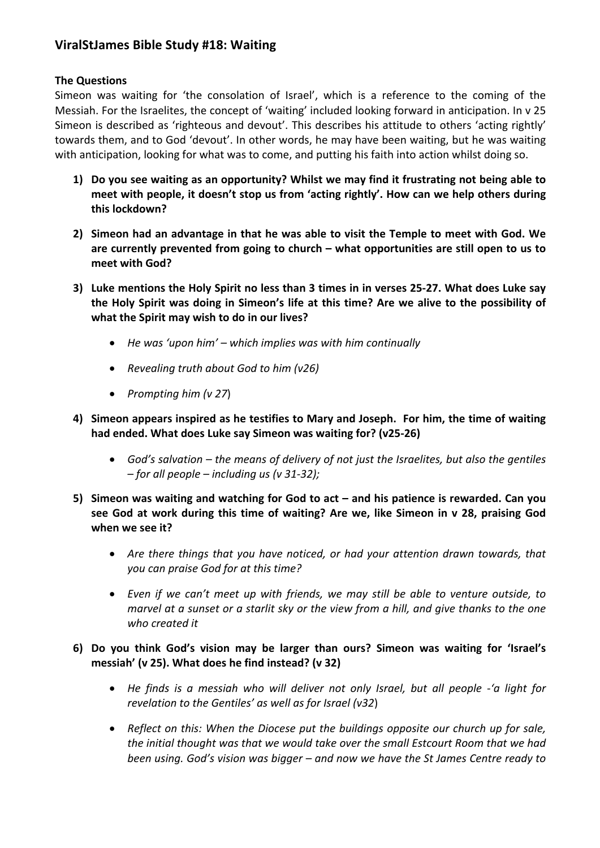# **ViralStJames Bible Study #18: Waiting**

## **The Questions**

Simeon was waiting for 'the consolation of Israel', which is a reference to the coming of the Messiah. For the Israelites, the concept of 'waiting' included looking forward in anticipation. In v 25 Simeon is described as 'righteous and devout'. This describes his attitude to others 'acting rightly' towards them, and to God 'devout'. In other words, he may have been waiting, but he was waiting with anticipation, looking for what was to come, and putting his faith into action whilst doing so.

- **1) Do you see waiting as an opportunity? Whilst we may find it frustrating not being able to meet with people, it doesn't stop us from 'acting rightly'. How can we help others during this lockdown?**
- **2) Simeon had an advantage in that he was able to visit the Temple to meet with God. We are currently prevented from going to church – what opportunities are still open to us to meet with God?**
- **3) Luke mentions the Holy Spirit no less than 3 times in in verses 25-27. What does Luke say the Holy Spirit was doing in Simeon's life at this time? Are we alive to the possibility of what the Spirit may wish to do in our lives?**
	- *He was 'upon him' – which implies was with him continually*
	- *Revealing truth about God to him (v26)*
	- *Prompting him (v 27*)
- **4) Simeon appears inspired as he testifies to Mary and Joseph. For him, the time of waiting had ended. What does Luke say Simeon was waiting for? (v25-26)**
	- *God's salvation – the means of delivery of not just the Israelites, but also the gentiles – for all people – including us (v 31-32);*
- **5) Simeon was waiting and watching for God to act – and his patience is rewarded. Can you see God at work during this time of waiting? Are we, like Simeon in v 28, praising God when we see it?**
	- *Are there things that you have noticed, or had your attention drawn towards, that you can praise God for at this time?*
	- *Even if we can't meet up with friends, we may still be able to venture outside, to marvel at a sunset or a starlit sky or the view from a hill, and give thanks to the one who created it*

## **6) Do you think God's vision may be larger than ours? Simeon was waiting for 'Israel's messiah' (v 25). What does he find instead? (v 32)**

- *He finds is a messiah who will deliver not only Israel, but all people -'a light for revelation to the Gentiles' as well as for Israel (v32*)
- *Reflect on this: When the Diocese put the buildings opposite our church up for sale, the initial thought was that we would take over the small Estcourt Room that we had been using. God's vision was bigger – and now we have the St James Centre ready to*